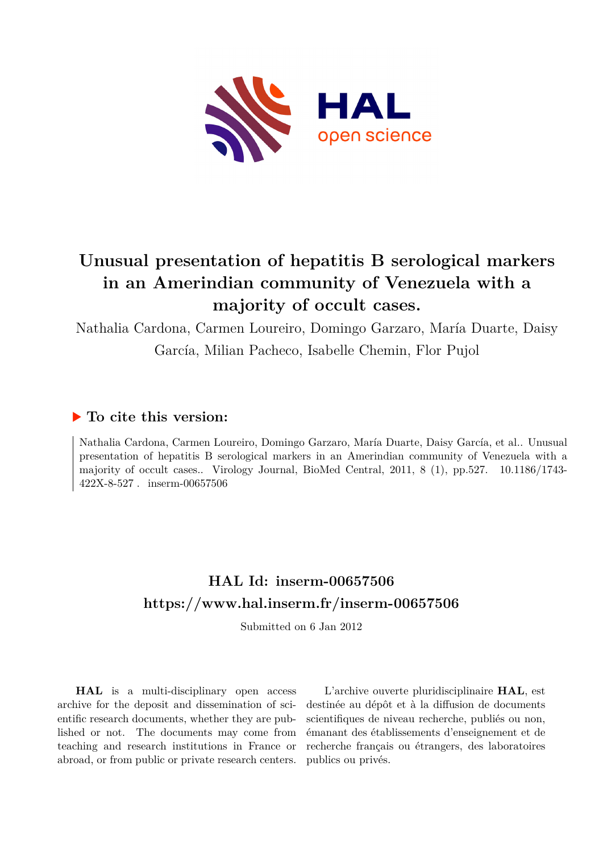

# **Unusual presentation of hepatitis B serological markers in an Amerindian community of Venezuela with a majority of occult cases.**

Nathalia Cardona, Carmen Loureiro, Domingo Garzaro, María Duarte, Daisy García, Milian Pacheco, Isabelle Chemin, Flor Pujol

# **To cite this version:**

Nathalia Cardona, Carmen Loureiro, Domingo Garzaro, María Duarte, Daisy García, et al.. Unusual presentation of hepatitis B serological markers in an Amerindian community of Venezuela with a majority of occult cases.. Virology Journal, BioMed Central, 2011, 8 (1), pp.527. 10.1186/1743- $422X-8-527$ . inserm-00657506

# **HAL Id: inserm-00657506 <https://www.hal.inserm.fr/inserm-00657506>**

Submitted on 6 Jan 2012

**HAL** is a multi-disciplinary open access archive for the deposit and dissemination of scientific research documents, whether they are published or not. The documents may come from teaching and research institutions in France or abroad, or from public or private research centers.

L'archive ouverte pluridisciplinaire **HAL**, est destinée au dépôt et à la diffusion de documents scientifiques de niveau recherche, publiés ou non, émanant des établissements d'enseignement et de recherche français ou étrangers, des laboratoires publics ou privés.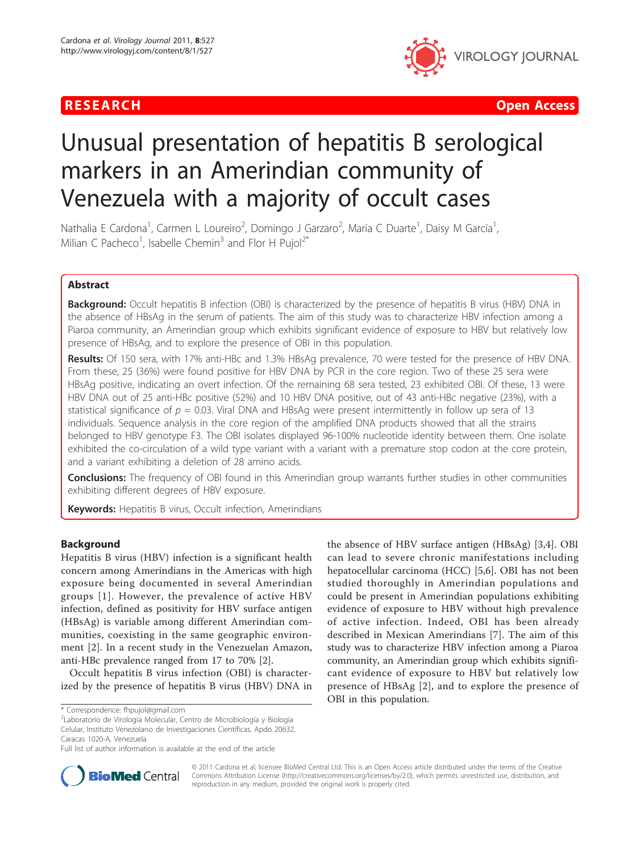



# Unusual presentation of hepatitis B serological markers in an Amerindian community of Venezuela with a majority of occult cases

Nathalia E Cardona<sup>1</sup>, Carmen L Loureiro<sup>2</sup>, Domingo J Garzaro<sup>2</sup>, María C Duarte<sup>1</sup>, Daisy M García<sup>1</sup> , Milian C Pacheco<sup>1</sup>, Isabelle Chemin<sup>3</sup> and Flor H Pujol<sup>2\*</sup>

# Abstract

**Background:** Occult hepatitis B infection (OBI) is characterized by the presence of hepatitis B virus (HBV) DNA in the absence of HBsAg in the serum of patients. The aim of this study was to characterize HBV infection among a Piaroa community, an Amerindian group which exhibits significant evidence of exposure to HBV but relatively low presence of HBsAg, and to explore the presence of OBI in this population.

Results: Of 150 sera, with 17% anti-HBc and 1.3% HBsAg prevalence, 70 were tested for the presence of HBV DNA. From these, 25 (36%) were found positive for HBV DNA by PCR in the core region. Two of these 25 sera were HBsAg positive, indicating an overt infection. Of the remaining 68 sera tested, 23 exhibited OBI. Of these, 13 were HBV DNA out of 25 anti-HBc positive (52%) and 10 HBV DNA positive, out of 43 anti-HBc negative (23%), with a statistical significance of  $p = 0.03$ . Viral DNA and HBsAg were present intermittently in follow up sera of 13 individuals. Sequence analysis in the core region of the amplified DNA products showed that all the strains belonged to HBV genotype F3. The OBI isolates displayed 96-100% nucleotide identity between them. One isolate exhibited the co-circulation of a wild type variant with a variant with a premature stop codon at the core protein, and a variant exhibiting a deletion of 28 amino acids.

Conclusions: The frequency of OBI found in this Amerindian group warrants further studies in other communities exhibiting different degrees of HBV exposure.

Keywords: Hepatitis B virus, Occult infection, Amerindians

# Background

Hepatitis B virus (HBV) infection is a significant health concern among Amerindians in the Americas with high exposure being documented in several Amerindian groups [[1](#page-6-0)]. However, the prevalence of active HBV infection, defined as positivity for HBV surface antigen (HBsAg) is variable among different Amerindian communities, coexisting in the same geographic environment [[2\]](#page-7-0). In a recent study in the Venezuelan Amazon, anti-HBc prevalence ranged from 17 to 70% [\[2](#page-7-0)].

Occult hepatitis B virus infection (OBI) is characterized by the presence of hepatitis B virus (HBV) DNA in

2 Laboratorio de Virología Molecular, Centro de Microbiología y Biología Celular, Instituto Venezolano de Investigaciones Científicas, Apdo 20632, Caracas 1020-A, Venezuela

the absence of HBV surface antigen (HBsAg) [[3,4\]](#page-7-0). OBI can lead to severe chronic manifestations including hepatocellular carcinoma (HCC) [[5,6\]](#page-7-0). OBI has not been studied thoroughly in Amerindian populations and could be present in Amerindian populations exhibiting evidence of exposure to HBV without high prevalence of active infection. Indeed, OBI has been already described in Mexican Amerindians [[7](#page-7-0)]. The aim of this study was to characterize HBV infection among a Piaroa community, an Amerindian group which exhibits significant evidence of exposure to HBV but relatively low presence of HBsAg [\[2](#page-7-0)], and to explore the presence of OBI in this population.



© 2011 Cardona et al; licensee BioMed Central Ltd. This is an Open Access article distributed under the terms of the Creative Commons Attribution License [\(http://creativecommons.org/licenses/by/2.0](http://creativecommons.org/licenses/by/2.0)), which permits unrestricted use, distribution, and reproduction in any medium, provided the original work is properly cited.

<sup>\*</sup> Correspondence: [fhpujol@gmail.com](mailto:fhpujol@gmail.com)

Full list of author information is available at the end of the article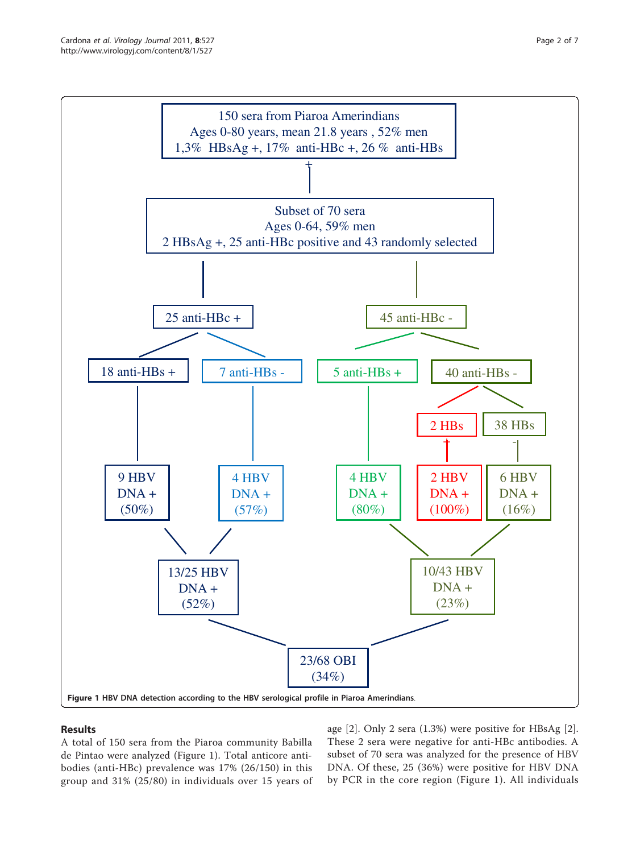<span id="page-2-0"></span>

# Results

A total of 150 sera from the Piaroa community Babilla de Pintao were analyzed (Figure 1). Total anticore antibodies (anti-HBc) prevalence was 17% (26/150) in this group and 31% (25/80) in individuals over 15 years of age [[2\]](#page-7-0). Only 2 sera (1.3%) were positive for HBsAg [\[2](#page-7-0)]. These 2 sera were negative for anti-HBc antibodies. A subset of 70 sera was analyzed for the presence of HBV DNA. Of these, 25 (36%) were positive for HBV DNA by PCR in the core region (Figure 1). All individuals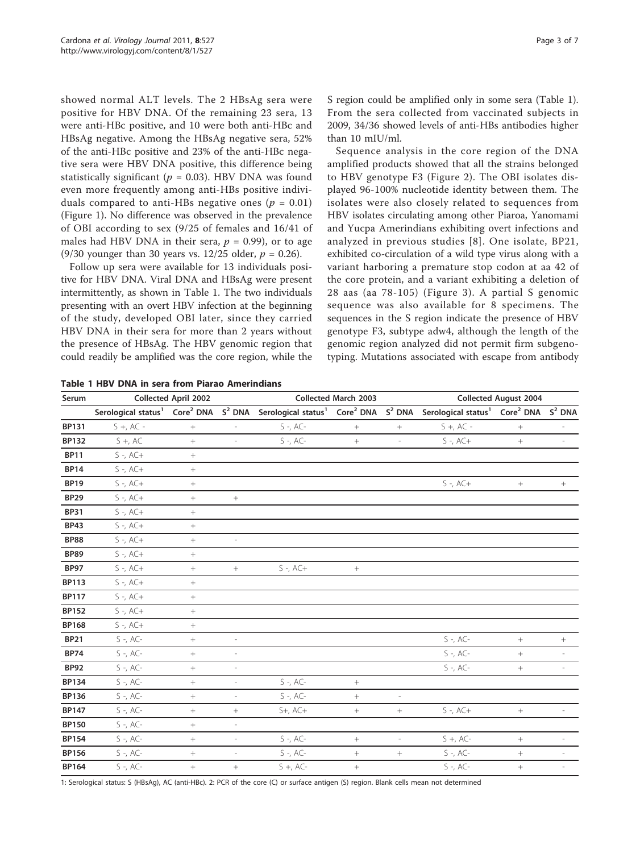showed normal ALT levels. The 2 HBsAg sera were positive for HBV DNA. Of the remaining 23 sera, 13 were anti-HBc positive, and 10 were both anti-HBc and HBsAg negative. Among the HBsAg negative sera, 52% of the anti-HBc positive and 23% of the anti-HBc negative sera were HBV DNA positive, this difference being statistically significant ( $p = 0.03$ ). HBV DNA was found even more frequently among anti-HBs positive individuals compared to anti-HBs negative ones ( $p = 0.01$ ) (Figure [1\)](#page-2-0). No difference was observed in the prevalence of OBI according to sex (9/25 of females and 16/41 of males had HBV DNA in their sera,  $p = 0.99$ ), or to age (9/30 younger than 30 years vs. 12/25 older,  $p = 0.26$ ).

Follow up sera were available for 13 individuals positive for HBV DNA. Viral DNA and HBsAg were present intermittently, as shown in Table 1. The two individuals presenting with an overt HBV infection at the beginning of the study, developed OBI later, since they carried HBV DNA in their sera for more than 2 years without the presence of HBsAg. The HBV genomic region that could readily be amplified was the core region, while the S region could be amplified only in some sera (Table 1). From the sera collected from vaccinated subjects in 2009, 34/36 showed levels of anti-HBs antibodies higher than 10 mIU/ml.

Sequence analysis in the core region of the DNA amplified products showed that all the strains belonged to HBV genotype F3 (Figure [2\)](#page-4-0). The OBI isolates displayed 96-100% nucleotide identity between them. The isolates were also closely related to sequences from HBV isolates circulating among other Piaroa, Yanomami and Yucpa Amerindians exhibiting overt infections and analyzed in previous studies [[8\]](#page-7-0). One isolate, BP21, exhibited co-circulation of a wild type virus along with a variant harboring a premature stop codon at aa 42 of the core protein, and a variant exhibiting a deletion of 28 aas (aa 78-105) (Figure [3\)](#page-5-0). A partial S genomic sequence was also available for 8 specimens. The sequences in the S region indicate the presence of HBV genotype F3, subtype adw4, although the length of the genomic region analyzed did not permit firm subgenotyping. Mutations associated with escape from antibody

Table 1 HBV DNA in sera from Piarao Amerindians

| Serum        | <b>Collected April 2002</b>     |                 |                              | <b>Collected March 2003</b>                                                                    |           |                          | <b>Collected August 2004</b>                          |                  |                              |
|--------------|---------------------------------|-----------------|------------------------------|------------------------------------------------------------------------------------------------|-----------|--------------------------|-------------------------------------------------------|------------------|------------------------------|
|              | Serological status <sup>1</sup> |                 |                              | Core <sup>2</sup> DNA S <sup>2</sup> DNA Serological status <sup>1</sup> Core <sup>2</sup> DNA |           | $S^2$ DNA                | Serological status <sup>1</sup> Core <sup>2</sup> DNA |                  | $S^2$ DNA                    |
| <b>BP131</b> | $S +$ , AC -                    | $^{+}$          |                              | $S - A C -$                                                                                    | $\! +$    | $^{+}$                   | $S +$ , AC -                                          | $\! + \!\!\!\!$  |                              |
| BP132        | $S +$ , AC                      | $+$             | $\overline{\phantom{a}}$     | $S - A C -$                                                                                    | $\! +$    | $\overline{\phantom{a}}$ | $S - A C +$                                           | $^{+}$           |                              |
| <b>BP11</b>  | $S - A C +$                     | $\! +$          |                              |                                                                                                |           |                          |                                                       |                  |                              |
| <b>BP14</b>  | $S - A C +$                     | $\! + \!$       |                              |                                                                                                |           |                          |                                                       |                  |                              |
| <b>BP19</b>  | $S - A C +$                     | $^{+}$          |                              |                                                                                                |           |                          | $S - A C +$                                           | $\boldsymbol{+}$ | $^+$                         |
| <b>BP29</b>  | $S - A C +$                     | $\, +$          | $\! + \!\!\!\!$              |                                                                                                |           |                          |                                                       |                  |                              |
| <b>BP31</b>  | $S - A C +$                     | $^{+}$          |                              |                                                                                                |           |                          |                                                       |                  |                              |
| <b>BP43</b>  | $S - A C +$                     | $^{+}$          |                              |                                                                                                |           |                          |                                                       |                  |                              |
| <b>BP88</b>  | $S - A C +$                     |                 | $\overline{\phantom{a}}$     |                                                                                                |           |                          |                                                       |                  |                              |
| <b>BP89</b>  | $S - A C +$                     | $^{+}$          |                              |                                                                                                |           |                          |                                                       |                  |                              |
| <b>BP97</b>  | $S - A C +$                     | $^{+}$          | $^{+}$                       | $S - A C +$                                                                                    | $\, +$    |                          |                                                       |                  |                              |
| BP113        | $S - A C +$                     | $\! + \!\!\!\!$ |                              |                                                                                                |           |                          |                                                       |                  |                              |
| <b>BP117</b> | $S - A C +$                     | $^+$            |                              |                                                                                                |           |                          |                                                       |                  |                              |
| BP152        | $S - A C +$                     | $+$             |                              |                                                                                                |           |                          |                                                       |                  |                              |
| <b>BP168</b> | $S - A C +$                     | $\! + \!$       |                              |                                                                                                |           |                          |                                                       |                  |                              |
| <b>BP21</b>  | $S - A C$                       | $\! + \!\!\!\!$ | $\qquad \qquad \blacksquare$ |                                                                                                |           |                          | $S - A C$                                             | $\! + \!\!\!\!$  |                              |
| <b>BP74</b>  | $S - A C -$                     | $+$             | $\overline{\phantom{a}}$     |                                                                                                |           |                          | $S - A C -$                                           | $\! +$           | $\overline{\phantom{a}}$     |
| <b>BP92</b>  | $S - A C -$                     | $^{+}$          | $\overline{\phantom{a}}$     |                                                                                                |           |                          | $S - A C -$                                           | $\boldsymbol{+}$ | $\qquad \qquad \blacksquare$ |
| BP134        | $S - A C -$                     | $+$             | ÷,                           | $S - A C$                                                                                      | $\! + \!$ |                          |                                                       |                  |                              |
| <b>BP136</b> | $S - A C -$                     | $\! +$          | $\overline{\phantom{m}}$     | $S - A C -$                                                                                    | $+$       | $\overline{\phantom{a}}$ |                                                       |                  |                              |
| <b>BP147</b> | $S - A C -$                     | $^{+}$          | $\boldsymbol{+}$             | $S+$ , $AC+$                                                                                   | $+$       | $^{+}$                   | $S - A C +$                                           | $\! + \!\!\!\!$  | L,                           |
| <b>BP150</b> | $S - A C$ -                     | $^{+}$          | $\overline{\phantom{a}}$     |                                                                                                |           |                          |                                                       |                  |                              |
| <b>BP154</b> | $S - A C -$                     | $^{+}$          | $\overline{\phantom{a}}$     | $S - A C -$                                                                                    | $\! +$    | $\overline{\phantom{a}}$ | $S +$ , AC-                                           | $\boldsymbol{+}$ | $\overline{\phantom{a}}$     |
| <b>BP156</b> | $S - A C -$                     | $^{+}$          | $\overline{\phantom{m}}$     | $S - A C -$                                                                                    | $^{+}$    | $\! + \!\!\!\!$          | $S - A C -$                                           | $\boldsymbol{+}$ |                              |
| BP164        | $S - A C -$                     | $^{+}$          | $^{+}$                       | $S +$ , AC-                                                                                    | $^{+}$    |                          | $S - A C -$                                           | $^{+}$           |                              |

1: Serological status: S (HBsAg), AC (anti-HBc). 2: PCR of the core (C) or surface antigen (S) region. Blank cells mean not determined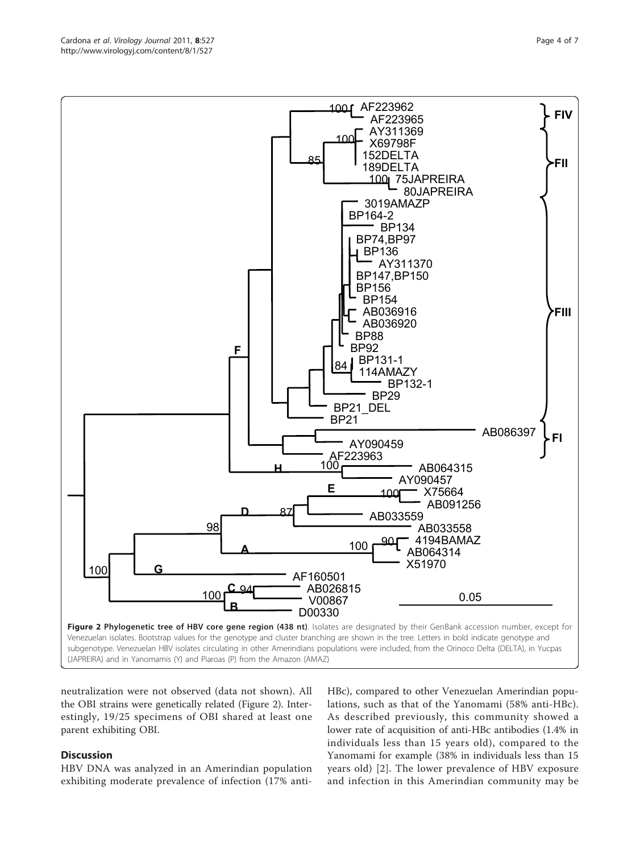neutralization were not observed (data not shown). All the OBI strains were genetically related (Figure 2). Interestingly, 19/25 specimens of OBI shared at least one parent exhibiting OBI.

## Discussion

HBV DNA was analyzed in an Amerindian population exhibiting moderate prevalence of infection (17% antiHBc), compared to other Venezuelan Amerindian populations, such as that of the Yanomami (58% anti-HBc). As described previously, this community showed a lower rate of acquisition of anti-HBc antibodies (1.4% in individuals less than 15 years old), compared to the Yanomami for example (38% in individuals less than 15 years old) [[2\]](#page-7-0). The lower prevalence of HBV exposure and infection in this Amerindian community may be

<span id="page-4-0"></span>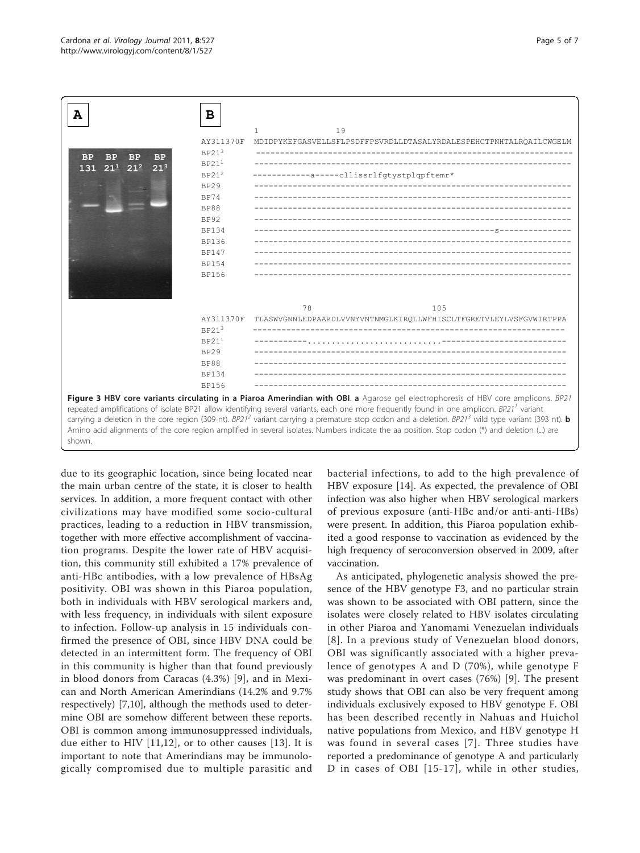<span id="page-5-0"></span>

due to its geographic location, since being located near the main urban centre of the state, it is closer to health services. In addition, a more frequent contact with other civilizations may have modified some socio-cultural practices, leading to a reduction in HBV transmission, together with more effective accomplishment of vaccination programs. Despite the lower rate of HBV acquisition, this community still exhibited a 17% prevalence of anti-HBc antibodies, with a low prevalence of HBsAg positivity. OBI was shown in this Piaroa population, both in individuals with HBV serological markers and, with less frequency, in individuals with silent exposure to infection. Follow-up analysis in 15 individuals confirmed the presence of OBI, since HBV DNA could be detected in an intermittent form. The frequency of OBI in this community is higher than that found previously in blood donors from Caracas (4.3%) [[9\]](#page-7-0), and in Mexican and North American Amerindians (14.2% and 9.7% respectively) [[7,10](#page-7-0)], although the methods used to determine OBI are somehow different between these reports. OBI is common among immunosuppressed individuals, due either to HIV [[11,12](#page-7-0)], or to other causes [[13\]](#page-7-0). It is important to note that Amerindians may be immunologically compromised due to multiple parasitic and

bacterial infections, to add to the high prevalence of HBV exposure [[14\]](#page-7-0). As expected, the prevalence of OBI infection was also higher when HBV serological markers of previous exposure (anti-HBc and/or anti-anti-HBs) were present. In addition, this Piaroa population exhibited a good response to vaccination as evidenced by the high frequency of seroconversion observed in 2009, after vaccination.

As anticipated, phylogenetic analysis showed the presence of the HBV genotype F3, and no particular strain was shown to be associated with OBI pattern, since the isolates were closely related to HBV isolates circulating in other Piaroa and Yanomami Venezuelan individuals [[8](#page-7-0)]. In a previous study of Venezuelan blood donors, OBI was significantly associated with a higher prevalence of genotypes A and D (70%), while genotype F was predominant in overt cases (76%) [\[9](#page-7-0)]. The present study shows that OBI can also be very frequent among individuals exclusively exposed to HBV genotype F. OBI has been described recently in Nahuas and Huichol native populations from Mexico, and HBV genotype H was found in several cases [[7](#page-7-0)]. Three studies have reported a predominance of genotype A and particularly D in cases of OBI [[15-17](#page-7-0)], while in other studies,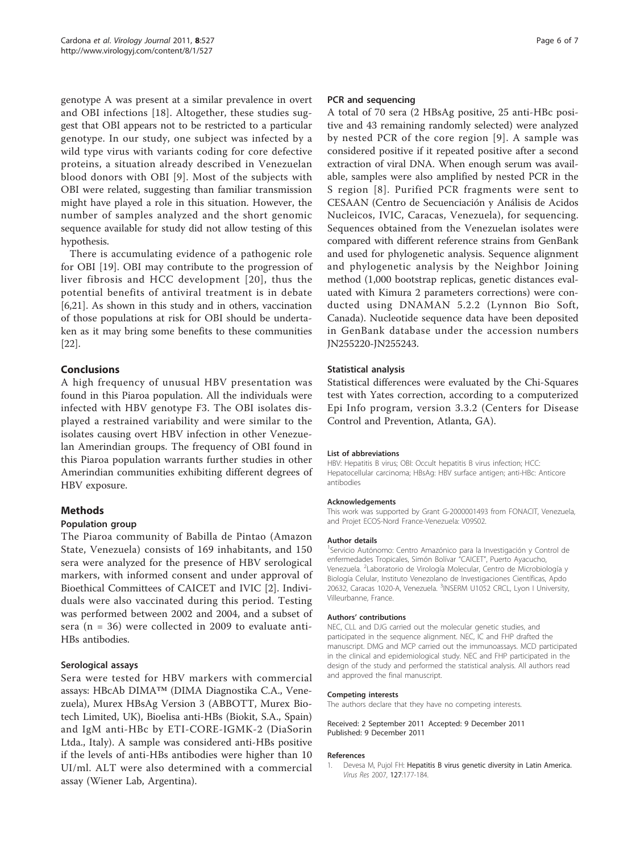<span id="page-6-0"></span>genotype A was present at a similar prevalence in overt and OBI infections [\[18\]](#page-7-0). Altogether, these studies suggest that OBI appears not to be restricted to a particular genotype. In our study, one subject was infected by a wild type virus with variants coding for core defective proteins, a situation already described in Venezuelan blood donors with OBI [[9\]](#page-7-0). Most of the subjects with OBI were related, suggesting than familiar transmission might have played a role in this situation. However, the number of samples analyzed and the short genomic sequence available for study did not allow testing of this hypothesis.

There is accumulating evidence of a pathogenic role for OBI [[19\]](#page-7-0). OBI may contribute to the progression of liver fibrosis and HCC development [[20](#page-7-0)], thus the potential benefits of antiviral treatment is in debate [[6,21\]](#page-7-0). As shown in this study and in others, vaccination of those populations at risk for OBI should be undertaken as it may bring some benefits to these communities [[22\]](#page-7-0).

# Conclusions

A high frequency of unusual HBV presentation was found in this Piaroa population. All the individuals were infected with HBV genotype F3. The OBI isolates displayed a restrained variability and were similar to the isolates causing overt HBV infection in other Venezuelan Amerindian groups. The frequency of OBI found in this Piaroa population warrants further studies in other Amerindian communities exhibiting different degrees of HBV exposure.

### Methods

### Population group

The Piaroa community of Babilla de Pintao (Amazon State, Venezuela) consists of 169 inhabitants, and 150 sera were analyzed for the presence of HBV serological markers, with informed consent and under approval of Bioethical Committees of CAICET and IVIC [[2](#page-7-0)]. Individuals were also vaccinated during this period. Testing was performed between 2002 and 2004, and a subset of sera (n = 36) were collected in 2009 to evaluate anti-HBs antibodies.

### Serological assays

Sera were tested for HBV markers with commercial assays: HBcAb DIMA™ (DIMA Diagnostika C.A., Venezuela), Murex HBsAg Version 3 (ABBOTT, Murex Biotech Limited, UK), Bioelisa anti-HBs (Biokit, S.A., Spain) and IgM anti-HBc by ETI-CORE-IGMK-2 (DiaSorin Ltda., Italy). A sample was considered anti-HBs positive if the levels of anti-HBs antibodies were higher than 10 UI/ml. ALT were also determined with a commercial assay (Wiener Lab, Argentina).

#### PCR and sequencing

A total of 70 sera (2 HBsAg positive, 25 anti-HBc positive and 43 remaining randomly selected) were analyzed by nested PCR of the core region [[9\]](#page-7-0). A sample was considered positive if it repeated positive after a second extraction of viral DNA. When enough serum was available, samples were also amplified by nested PCR in the S region [[8\]](#page-7-0). Purified PCR fragments were sent to CESAAN (Centro de Secuenciación y Análisis de Acidos Nucleicos, IVIC, Caracas, Venezuela), for sequencing. Sequences obtained from the Venezuelan isolates were compared with different reference strains from GenBank and used for phylogenetic analysis. Sequence alignment and phylogenetic analysis by the Neighbor Joining method (1,000 bootstrap replicas, genetic distances evaluated with Kimura 2 parameters corrections) were conducted using DNAMAN 5.2.2 (Lynnon Bio Soft, Canada). Nucleotide sequence data have been deposited in GenBank database under the accession numbers [JN255220](http://www.ncbi.nih.gov/entrez/query.fcgi?db=Nucleotide&cmd=search&term=JN255220)[-JN255243.](http://www.ncbi.nih.gov/entrez/query.fcgi?db=Nucleotide&cmd=search&term=JN255243)

#### Statistical analysis

Statistical differences were evaluated by the Chi-Squares test with Yates correction, according to a computerized Epi Info program, version 3.3.2 (Centers for Disease Control and Prevention, Atlanta, GA).

#### List of abbreviations

HBV: Hepatitis B virus; OBI: Occult hepatitis B virus infection; HCC: Hepatocellular carcinoma; HBsAg: HBV surface antigen; anti-HBc: Anticore antibodies

#### Acknowledgements

This work was supported by Grant G-2000001493 from FONACIT, Venezuela, and Projet ECOS-Nord France-Venezuela: V09S02.

#### Author details

<sup>1</sup>Servicio Autónomo: Centro Amazónico para la Investigación y Control de enfermedades Tropicales, Simón Bolívar "CAICET", Puerto Ayacucho, Venezuela. <sup>2</sup> Laboratorio de Virología Molecular, Centro de Microbiología y Biología Celular, Instituto Venezolano de Investigaciones Científicas, Apdo 20632, Caracas 1020-A, Venezuela. <sup>3</sup>INSERM U1052 CRCL, Lyon I University Villeurbanne, France.

#### Authors' contributions

NEC, CLL and DJG carried out the molecular genetic studies, and participated in the sequence alignment. NEC, IC and FHP drafted the manuscript. DMG and MCP carried out the immunoassays. MCD participated in the clinical and epidemiological study. NEC and FHP participated in the design of the study and performed the statistical analysis. All authors read and approved the final manuscript.

#### Competing interests

The authors declare that they have no competing interests.

Received: 2 September 2011 Accepted: 9 December 2011 Published: 9 December 2011

#### References

1. Devesa M, Pujol FH: [Hepatitis B virus genetic diversity in Latin America.](http://www.ncbi.nlm.nih.gov/pubmed/17280734?dopt=Abstract) Virus Res 2007, 127:177-184.